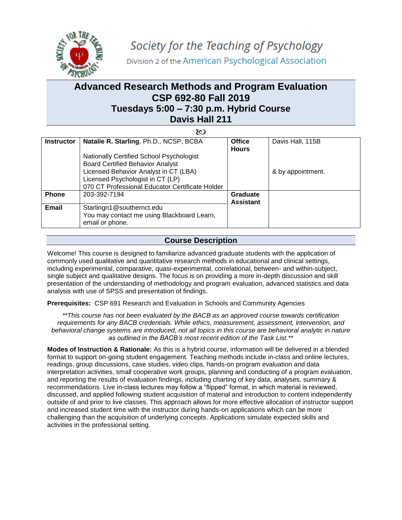

# **Advanced Research Methods and Program Evaluation CSP 692-80 Fall 2019 Tuesdays 5:00 – 7:30 p.m. Hybrid Course Davis Hall 211**

| 80                |                                                                                                                                                                                                                            |                              |                   |  |  |  |
|-------------------|----------------------------------------------------------------------------------------------------------------------------------------------------------------------------------------------------------------------------|------------------------------|-------------------|--|--|--|
| <b>Instructor</b> | Natalie R. Starling, Ph.D., NCSP, BCBA                                                                                                                                                                                     | <b>Office</b>                | Davis Hall, 115B  |  |  |  |
|                   | <b>Nationally Certified School Psychologist</b><br><b>Board Certified Behavior Analyst</b><br>Licensed Behavior Analyst in CT (LBA)<br>Licensed Psychologist in CT (LP)<br>070 CT Professional Educator Certificate Holder | <b>Hours</b>                 | & by appointment. |  |  |  |
| <b>Phone</b>      | 203-392-7194                                                                                                                                                                                                               | Graduate<br><b>Assistant</b> |                   |  |  |  |
| Email             | Starlingn1@southernct.edu<br>You may contact me using Blackboard Learn,<br>email or phone.                                                                                                                                 |                              |                   |  |  |  |

## **Course Description**

Welcome! This course is designed to familiarize advanced graduate students with the application of commonly used qualitative and quantitative research methods in educational and clinical settings, including experimental, comparative, quasi-experimental, correlational, between- and within-subject, single subject and qualitative designs. The focus is on providing a more in-depth discussion and skill presentation of the understanding of methodology and program evaluation, advanced statistics and data analysis with use of SPSS and presentation of findings.

**Prerequisites:** CSP 691 Research and Evaluation in Schools and Community Agencies

*\*\*This course has not been evaluated by the BACB as an approved course towards certification requirements for any BACB credentials. While ethics, measurement, assessment, intervention, and behavioral change systems are introduced, not all topics in this course are behavioral analytic in nature as outlined in the BACB's most recent edition of the Task List.\*\**

**Modes of Instruction & Rationale:** As this is a hybrid course, information will be delivered in a blended format to support on-going student engagement. Teaching methods include in-class and online lectures, readings, group discussions, case studies, video clips, hands-on program evaluation and data interpretation activities, small cooperative work groups, planning and conducting of a program evaluation, and reporting the results of evaluation findings, including charting of key data, analyses, summary & recommendations. Live in-class lectures may follow a "flipped" format, in which material is reviewed, discussed, and applied following student acquisition of material and introduction to content independently outside of and prior to live classes. This approach allows for more effective allocation of instructor support and increased student time with the instructor during hands-on applications which can be more challenging than the acquisition of underlying concepts. Applications simulate expected skills and activities in the professional setting.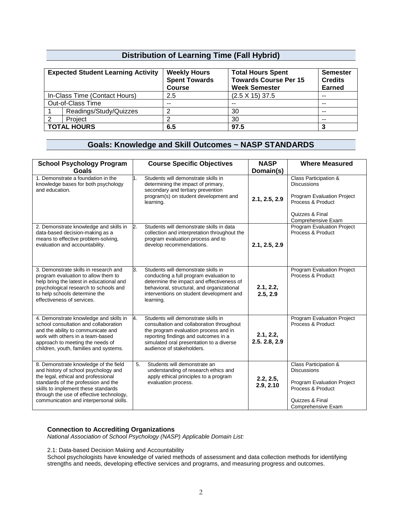## **Distribution of Learning Time (Fall Hybrid)**

|                               | <b>Expected Student Learning Activity</b> | <b>Weekly Hours</b><br><b>Spent Towards</b><br><b>Course</b> | <b>Total Hours Spent</b><br><b>Towards Course Per 15</b><br><b>Week Semester</b> | <b>Semester</b><br><b>Credits</b><br><b>Earned</b> |
|-------------------------------|-------------------------------------------|--------------------------------------------------------------|----------------------------------------------------------------------------------|----------------------------------------------------|
| In-Class Time (Contact Hours) |                                           | 2.5                                                          | $(2.5 \times 15)$ 37.5                                                           | $\sim$ $\sim$                                      |
| Out-of-Class Time             |                                           | $-$                                                          | $- -$                                                                            | $- -$                                              |
|                               | Readings/Study/Quizzes                    |                                                              | 30                                                                               | $\sim$ $\sim$                                      |
| 2                             | Project                                   |                                                              | 30                                                                               | $- -$                                              |
|                               | <b>TOTAL HOURS</b>                        | 6.5                                                          | 97.5                                                                             |                                                    |

## **Goals: Knowledge and Skill Outcomes ~ NASP STANDARDS**

| <b>School Psychology Program</b><br><b>Goals</b>                                                                                                                                                                                                                                          | <b>Course Specific Objectives</b>                                                                                                                                                                                                                | <b>NASP</b><br>Domain(s)   | <b>Where Measured</b>                                                                                                                   |
|-------------------------------------------------------------------------------------------------------------------------------------------------------------------------------------------------------------------------------------------------------------------------------------------|--------------------------------------------------------------------------------------------------------------------------------------------------------------------------------------------------------------------------------------------------|----------------------------|-----------------------------------------------------------------------------------------------------------------------------------------|
| 1. Demonstrate a foundation in the<br>knowledge bases for both psychology<br>and education.                                                                                                                                                                                               | Students will demonstrate skills in<br>h.<br>determining the impact of primary,<br>secondary and tertiary prevention<br>program(s) on student development and<br>learning.                                                                       | 2.1, 2.5, 2.9              | Class Participation &<br><b>Discussions</b><br>Program Evaluation Project<br>Process & Product<br>Quizzes & Final<br>Comprehensive Exam |
| 2. Demonstrate knowledge and skills in<br>data-based decision-making as a<br>means to effective problem-solving,<br>evaluation and accountability.                                                                                                                                        | Students will demonstrate skills in data<br>2.<br>collection and interpretation throughout the<br>program evaluation process and to<br>develop recommendations.                                                                                  | 2.1, 2.5, 2.9              | <b>Program Evaluation Project</b><br>Process & Product                                                                                  |
| 3. Demonstrate skills in research and<br>program evaluation to allow them to<br>help bring the latest in educational and<br>psychological research to schools and<br>to help schools determine the<br>effectiveness of services.                                                          | З.<br>Students will demonstrate skills in<br>conducting a full program evaluation to<br>determine the impact and effectiveness of<br>behavioral, structural, and organizational<br>interventions on student development and<br>learning.         | 2.1, 2.2,<br>2.5, 2.9      | Program Evaluation Project<br>Process & Product                                                                                         |
| 4. Demonstrate knowledge and skills in<br>school consultation and collaboration<br>and the ability to communicate and<br>work with others in a team-based<br>approach to meeting the needs of<br>children, youth, families and systems.                                                   | Students will demonstrate skills in<br>4.<br>consultation and collaboration throughout<br>the program evaluation process and in<br>reporting findings and outcomes in a<br>simulated oral presentation to a diverse<br>audience of stakeholders. | 2.1, 2.2,<br>2.5. 2.8, 2.9 | Program Evaluation Project<br>Process & Product                                                                                         |
| 8. Demonstrate knowledge of the field<br>and history of school psychology and<br>the legal, ethical and professional<br>standards of the profession and the<br>skills to implement these standards<br>through the use of effective technology,<br>communication and interpersonal skills. | Students will demonstrate an<br>5.<br>understanding of research ethics and<br>apply ethical principles to a program<br>evaluation process.                                                                                                       | 2.2, 2.5,<br>2.9, 2.10     | Class Participation &<br><b>Discussions</b><br>Program Evaluation Project<br>Process & Product<br>Quizzes & Final<br>Comprehensive Exam |

### **Connection to Accrediting Organizations**

*National Association of School Psychology (NASP) Applicable Domain List:*

2.1: Data-based Decision Making and Accountability

School psychologists have knowledge of varied methods of assessment and data collection methods for identifying strengths and needs, developing effective services and programs, and measuring progress and outcomes.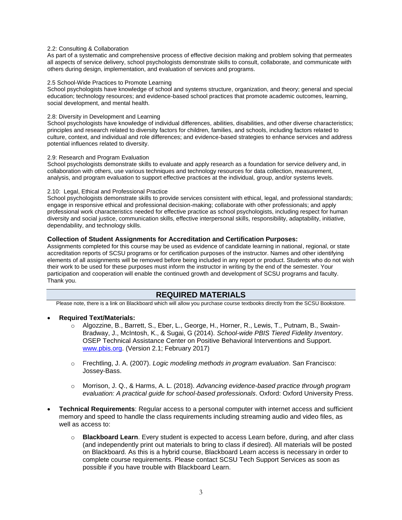#### 2.2: Consulting & Collaboration

As part of a systematic and comprehensive process of effective decision making and problem solving that permeates all aspects of service delivery, school psychologists demonstrate skills to consult, collaborate, and communicate with others during design, implementation, and evaluation of services and programs.

#### 2.5 School-Wide Practices to Promote Learning

School psychologists have knowledge of school and systems structure, organization, and theory; general and special education; technology resources; and evidence-based school practices that promote academic outcomes, learning, social development, and mental health.

#### 2.8: Diversity in Development and Learning

School psychologists have knowledge of individual differences, abilities, disabilities, and other diverse characteristics; principles and research related to diversity factors for children, families, and schools, including factors related to culture, context, and individual and role differences; and evidence-based strategies to enhance services and address potential influences related to diversity.

#### 2.9: Research and Program Evaluation

School psychologists demonstrate skills to evaluate and apply research as a foundation for service delivery and, in collaboration with others, use various techniques and technology resources for data collection, measurement, analysis, and program evaluation to support effective practices at the individual, group, and/or systems levels.

#### 2.10: Legal, Ethical and Professional Practice

School psychologists demonstrate skills to provide services consistent with ethical, legal, and professional standards; engage in responsive ethical and professional decision-making; collaborate with other professionals; and apply professional work characteristics needed for effective practice as school psychologists, including respect for human diversity and social justice, communication skills, effective interpersonal skills, responsibility, adaptability, initiative, dependability, and technology skills.

#### **Collection of Student Assignments for Accreditation and Certification Purposes:**

Assignments completed for this course may be used as evidence of candidate learning in national, regional, or state accreditation reports of SCSU programs or for certification purposes of the instructor. Names and other identifying elements of all assignments will be removed before being included in any report or product. Students who do not wish their work to be used for these purposes must inform the instructor in writing by the end of the semester. Your participation and cooperation will enable the continued growth and development of SCSU programs and faculty. Thank you.

### **REQUIRED MATERIALS**

Please note, there is a link on Blackboard which will allow you purchase course textbooks directly from the SCSU Bookstore.

#### • **Required Text/Materials:**

- o Algozzine, B., Barrett, S., Eber, L., George, H., Horner, R., Lewis, T., Putnam, B., Swain-Bradway, J., McIntosh, K., & Sugai, G (2014). *School-wide PBIS Tiered Fidelity Inventory*. OSEP Technical Assistance Center on Positive Behavioral Interventions and Support. [www.pbis.org.](http://www.pbis.org/) (Version 2.1; February 2017)
- o Frechtling, J. A. (2007). *Logic modeling methods in program evaluation*. San Francisco: Jossey-Bass.
- o Morrison, J. Q., & Harms, A. L. (2018). *Advancing evidence-based practice through program evaluation: A practical guide for school-based professionals*. Oxford: Oxford University Press.
- **Technical Requirements**: Regular access to a personal computer with internet access and sufficient memory and speed to handle the class requirements including streaming audio and video files, as well as access to:
	- o **Blackboard Learn**. Every student is expected to access Learn before, during, and after class (and independently print out materials to bring to class if desired). All materials will be posted on Blackboard. As this is a hybrid course, Blackboard Learn access is necessary in order to complete course requirements. Please contact SCSU Tech Support Services as soon as possible if you have trouble with Blackboard Learn.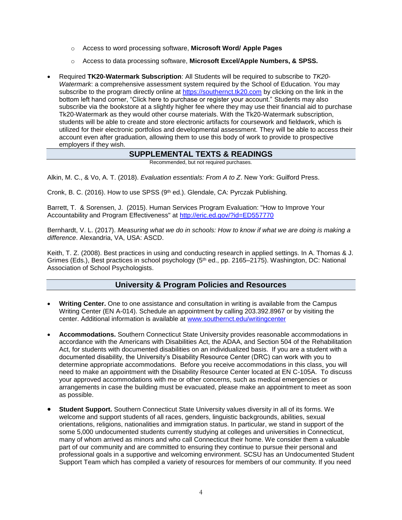- o Access to word processing software, **Microsoft Word/ Apple Pages**
- o Access to data processing software, **Microsoft Excel/Apple Numbers, & SPSS.**
- Required **TK20-Watermark Subscription**: All Students will be required to subscribe to *TK20- Watermark*: a comprehensive assessment system required by the School of Education. You may subscribe to the program directly online at [https://southernct.tk20.com](https://southernct.tk20.com/) by clicking on the link in the bottom left hand corner, "Click here to purchase or register your account." Students may also subscribe via the bookstore at a slightly higher fee where they may use their financial aid to purchase Tk20-Watermark as they would other course materials. With the Tk20-Watermark subscription, students will be able to create and store electronic artifacts for coursework and fieldwork, which is utilized for their electronic portfolios and developmental assessment. They will be able to access their account even after graduation, allowing them to use this body of work to provide to prospective employers if they wish.

## **SUPPLEMENTAL TEXTS & READINGS**

Recommended, but not required purchases.

Alkin, M. C., & Vo, A. T. (2018). *Evaluation essentials: From A to Z*. New York: Guilford Press.

Cronk, B. C. (2016). How to use SPSS ( $9<sup>th</sup>$  ed.). Glendale, CA: Pyrczak Publishing.

Barrett, T. & Sorensen, J. (2015). Human Services Program Evaluation: "How to Improve Your Accountability and Program Effectiveness" at<http://eric.ed.gov/?id=ED557770>

Bernhardt, V. L. (2017). *Measuring what we do in schools: How to know if what we are doing is making a difference*. Alexandria, VA, USA: ASCD.

Keith, T. Z. (2008). Best practices in using and conducting research in applied settings. In A. Thomas & J. Grimes (Eds.), Best practices in school psychology (5<sup>th</sup> ed., pp. 2165–2175). Washington, DC: National Association of School Psychologists.

## **University & Program Policies and Resources**

- **Writing Center.** One to one assistance and consultation in writing is available from the Campus Writing Center (EN A-014). Schedule an appointment by calling 203.392.8967 or by visiting the center. Additional information is available at [www.southernct.edu/writingcenter](http://www.southernct.edu/writingcenter)
- **Accommodations.** Southern Connecticut State University provides reasonable accommodations in accordance with the Americans with Disabilities Act, the ADAA, and Section 504 of the Rehabilitation Act, for students with documented disabilities on an individualized basis. If you are a student with a documented disability, the University's Disability Resource Center (DRC) can work with you to determine appropriate accommodations. Before you receive accommodations in this class, you will need to make an appointment with the Disability Resource Center located at EN C-105A. To discuss your approved accommodations with me or other concerns, such as medical emergencies or arrangements in case the building must be evacuated, please make an appointment to meet as soon as possible.
- **Student Support.** Southern Connecticut State University values diversity in all of its forms. We welcome and support students of all races, genders, linguistic backgrounds, abilities, sexual orientations, religions, nationalities and immigration status. In particular, we stand in support of the some 5,000 undocumented students currently studying at colleges and universities in Connecticut, many of whom arrived as minors and who call Connecticut their home. We consider them a valuable part of our community and are committed to ensuring they continue to pursue their personal and professional goals in a supportive and welcoming environment. SCSU has an Undocumented Student Support Team which has compiled a variety of resources for members of our community. If you need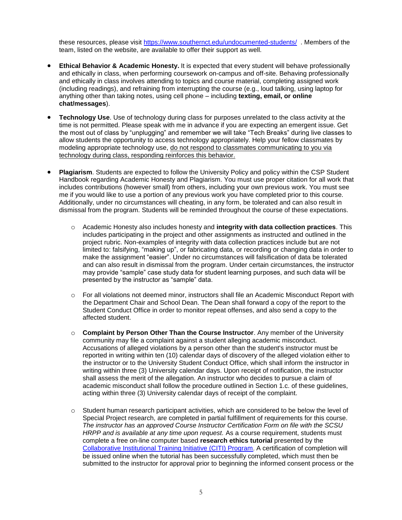these resources, please visit<https://www.southernct.edu/undocumented-students/> . Members of the team, listed on the website, are available to offer their support as well.

- **Ethical Behavior & Academic Honesty.** It is expected that every student will behave professionally and ethically in class, when performing coursework on-campus and off-site. Behaving professionally and ethically in class involves attending to topics and course material, completing assigned work (including readings), and refraining from interrupting the course (e.g., loud talking, using laptop for anything other than taking notes, using cell phone – including **texting, email, or online chat/messages**).
- **Technology Use**. Use of technology during class for purposes unrelated to the class activity at the time is not permitted. Please speak with me in advance if you are expecting an emergent issue. Get the most out of class by "unplugging" and remember we will take "Tech Breaks" during live classes to allow students the opportunity to access technology appropriately. Help your fellow classmates by modeling appropriate technology use, do not respond to classmates communicating to you via technology during class, responding reinforces this behavior.
- **Plagiarism**. Students are expected to follow the University Policy and policy within the CSP Student Handbook regarding Academic Honesty and Plagiarism. You must use proper citation for all work that includes contributions (however small) from others, including your own previous work. You must see me if you would like to use a portion of any previous work you have completed prior to this course. Additionally, under no circumstances will cheating, in any form, be tolerated and can also result in dismissal from the program. Students will be reminded throughout the course of these expectations.
	- o Academic Honesty also includes honesty and **integrity with data collection practices**. This includes participating in the project and other assignments as instructed and outlined in the project rubric. Non-examples of integrity with data collection practices include but are not limited to: falsifying, "making up", or fabricating data, or recording or changing data in order to make the assignment "easier". Under no circumstances will falsification of data be tolerated and can also result in dismissal from the program. Under certain circumstances, the instructor may provide "sample" case study data for student learning purposes, and such data will be presented by the instructor as "sample" data.
	- o For all violations not deemed minor, instructors shall file an Academic Misconduct Report with the Department Chair and School Dean. The Dean shall forward a copy of the report to the Student Conduct Office in order to monitor repeat offenses, and also send a copy to the affected student.
	- o **Complaint by Person Other Than the Course Instructor**. Any member of the University community may file a complaint against a student alleging academic misconduct. Accusations of alleged violations by a person other than the student's instructor must be reported in writing within ten (10) calendar days of discovery of the alleged violation either to the instructor or to the University Student Conduct Office, which shall inform the instructor in writing within three (3) University calendar days. Upon receipt of notification, the instructor shall assess the merit of the allegation. An instructor who decides to pursue a claim of academic misconduct shall follow the procedure outlined in Section 1.c. of these guidelines, acting within three (3) University calendar days of receipt of the complaint.
	- $\circ$  Student human research participant activities, which are considered to be below the level of Special Project research, are completed in partial fulfillment of requirements for this course. *The instructor has an approved Course Instructor Certification Form on file with the SCSU HRPP and is available at any time upon request.* As a course requirement, students must complete a free on-line computer based **research ethics tutorial** presented by the [Collaborative Institutional Training Initiative \(CITI\) Program](https://na01.safelinks.protection.outlook.com/?url=https%3A%2F%2Fabout.citiprogram.org%2Fen%2Fhomepage%2F&data=02%7C01%7Cstarlingn1%40southernct.edu%7C4a67aadaad8e42a630cd08d69682101d%7C58736863d60e40ce95c60723c7eaaf67%7C0%7C0%7C636861882762527103&sdata=ttovraFac5uIvUh5Ot%2FCjzgmkdlqV%2FS4XgZ8R1AjncA%3D&reserved=0). A certification of completion will be issued online when the tutorial has been successfully completed, which must then be submitted to the instructor for approval prior to beginning the informed consent process or the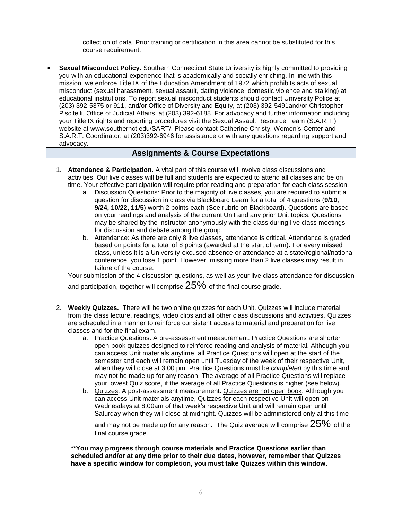collection of data. Prior training or certification in this area cannot be substituted for this course requirement.

• **Sexual Misconduct Policy.** Southern Connecticut State University is highly committed to providing you with an educational experience that is academically and socially enriching. In line with this mission, we enforce Title IX of the Education Amendment of 1972 which prohibits acts of sexual misconduct (sexual harassment, sexual assault, dating violence, domestic violence and stalking) at educational institutions. To report sexual misconduct students should contact University Police at (203) 392-5375 or 911, and/or Office of Diversity and Equity, at (203) 392-5491and/or Christopher Piscitelli, Office of Judicial Affairs, at (203) 392-6188. For advocacy and further information including your Title IX rights and reporting procedures visit the Sexual Assault Resource Team (S.A.R.T.) website at www.southernct.edu/SART/. Please contact Catherine Christy, Women's Center and S.A.R.T. Coordinator, at (203)392-6946 for assistance or with any questions regarding support and advocacy.

## **Assignments & Course Expectations**

- 1. **Attendance & Participation.** A vital part of this course will involve class discussions and activities. Our live classes will be full and students are expected to attend all classes and be on time. Your effective participation will require prior reading and preparation for each class session.
	- a. Discussion Questions: Prior to the majority of live classes, you are required to submit a question for discussion in class via Blackboard Learn for a total of 4 questions (**9/10, 9/24, 10/22, 11/5**) worth 2 points each (See rubric on Blackboard). Questions are based on your readings and analysis of the current Unit and any prior Unit topics. Questions may be shared by the instructor anonymously with the class during live class meetings for discussion and debate among the group.
	- b. Attendance: As there are only 8 live classes, attendance is critical. Attendance is graded based on points for a total of 8 points (awarded at the start of term). For every missed class, unless it is a University-excused absence or attendance at a state/regional/national conference, you lose 1 point. However, missing more than 2 live classes may result in failure of the course.

Your submission of the 4 discussion questions, as well as your live class attendance for discussion and participation, together will comprise  $25\%$  of the final course grade.

- 2. **Weekly Quizzes.** There will be two online quizzes for each Unit. Quizzes will include material from the class lecture, readings, video clips and all other class discussions and activities. Quizzes are scheduled in a manner to reinforce consistent access to material and preparation for live classes and for the final exam.
	- a. Practice Questions: A pre-assessment measurement. Practice Questions are shorter open-book quizzes designed to reinforce reading and analysis of material. Although you can access Unit materials anytime, all Practice Questions will open at the start of the semester and each will remain open until Tuesday of the week of their respective Unit, when they will close at 3:00 pm. Practice Questions must be *completed* by this time and may not be made up for any reason. The average of all Practice Questions will replace your lowest Quiz score, if the average of all Practice Questions is higher (see below).
	- b. Quizzes: A post-assessment measurement. Quizzes are not open book. Although you can access Unit materials anytime, Quizzes for each respective Unit will open on Wednesdays at 8:00am of that week's respective Unit and will remain open until Saturday when they will close at midnight. Quizzes will be administered only at this time and may not be made up for any reason. The Quiz average will comprise  $25\%$  of the

final course grade.

**\*\*You may progress through course materials and Practice Questions earlier than scheduled and/or at any time prior to their due dates, however, remember that Quizzes have a specific window for completion, you must take Quizzes within this window.**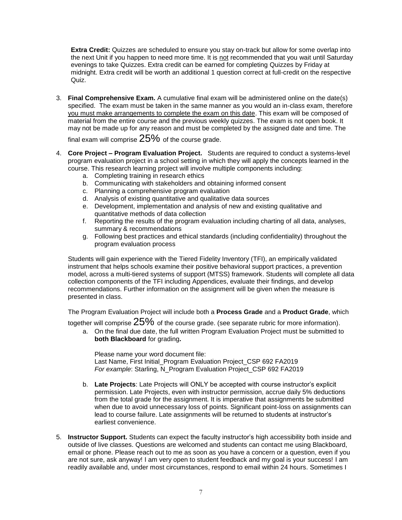**Extra Credit:** Quizzes are scheduled to ensure you stay on-track but allow for some overlap into the next Unit if you happen to need more time. It is not recommended that you wait until Saturday evenings to take Quizzes. Extra credit can be earned for completing Quizzes by Friday at midnight. Extra credit will be worth an additional 1 question correct at full-credit on the respective Quiz.

3. **Final Comprehensive Exam.** A cumulative final exam will be administered online on the date(s) specified. The exam must be taken in the same manner as you would an in-class exam, therefore you must make arrangements to complete the exam on this date. This exam will be composed of material from the entire course and the previous weekly quizzes. The exam is not open book. It may not be made up for any reason and must be completed by the assigned date and time. The

final exam will comprise  $25%$  of the course grade.

- 4. **Core Project – Program Evaluation Project.** Students are required to conduct a systems-level program evaluation project in a school setting in which they will apply the concepts learned in the course. This research learning project will involve multiple components including:
	- a. Completing training in research ethics
	- b. Communicating with stakeholders and obtaining informed consent
	- c. Planning a comprehensive program evaluation
	- d. Analysis of existing quantitative and qualitative data sources
	- e. Development, implementation and analysis of new and existing qualitative and quantitative methods of data collection
	- f. Reporting the results of the program evaluation including charting of all data, analyses, summary & recommendations
	- g. Following best practices and ethical standards (including confidentiality) throughout the program evaluation process

Students will gain experience with the Tiered Fidelity Inventory (TFI), an empirically validated instrument that helps schools examine their positive behavioral support practices, a prevention model, across a multi-tiered systems of support (MTSS) framework. Students will complete all data collection components of the TFI including Appendices, evaluate their findings, and develop recommendations. Further information on the assignment will be given when the measure is presented in class.

The Program Evaluation Project will include both a **Process Grade** and a **Product Grade**, which

together will comprise  $25\%$  of the course grade. (see separate rubric for more information).

a. On the final due date, the full written Program Evaluation Project must be submitted to **both Blackboard** for grading**.**

Please name your word document file: Last Name, First Initial\_Program Evaluation Project\_CSP 692 FA2019 *For example*: Starling, N\_Program Evaluation Project\_CSP 692 FA2019

- b. **Late Projects**: Late Projects will ONLY be accepted with course instructor's explicit permission. Late Projects, even with instructor permission, accrue daily 5% deductions from the total grade for the assignment. It is imperative that assignments be submitted when due to avoid unnecessary loss of points. Significant point-loss on assignments can lead to course failure. Late assignments will be returned to students at instructor's earliest convenience.
- 5. **Instructor Support.** Students can expect the faculty instructor's high accessibility both inside and outside of live classes. Questions are welcomed and students can contact me using Blackboard, email or phone. Please reach out to me as soon as you have a concern or a question, even if you are not sure, ask anyway! I am very open to student feedback and my goal is your success! I am readily available and, under most circumstances, respond to email within 24 hours. Sometimes I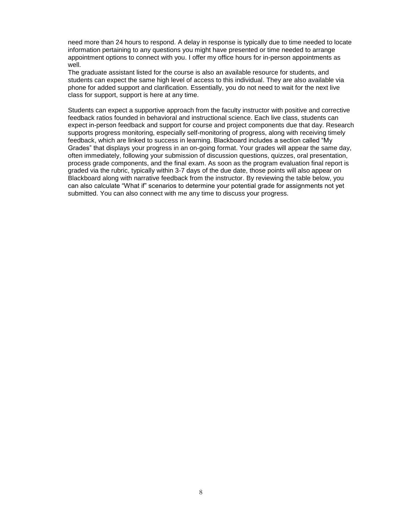need more than 24 hours to respond. A delay in response is typically due to time needed to locate information pertaining to any questions you might have presented or time needed to arrange appointment options to connect with you. I offer my office hours for in-person appointments as well.

The graduate assistant listed for the course is also an available resource for students, and students can expect the same high level of access to this individual. They are also available via phone for added support and clarification. Essentially, you do not need to wait for the next live class for support, support is here at any time.

Students can expect a supportive approach from the faculty instructor with positive and corrective feedback ratios founded in behavioral and instructional science. Each live class, students can expect in-person feedback and support for course and project components due that day. Research supports progress monitoring, especially self-monitoring of progress, along with receiving timely feedback, which are linked to success in learning. Blackboard includes a section called "My Grades" that displays your progress in an on-going format. Your grades will appear the same day, often immediately, following your submission of discussion questions, quizzes, oral presentation, process grade components, and the final exam. As soon as the program evaluation final report is graded via the rubric, typically within 3-7 days of the due date, those points will also appear on Blackboard along with narrative feedback from the instructor. By reviewing the table below, you can also calculate "What if" scenarios to determine your potential grade for assignments not yet submitted. You can also connect with me any time to discuss your progress.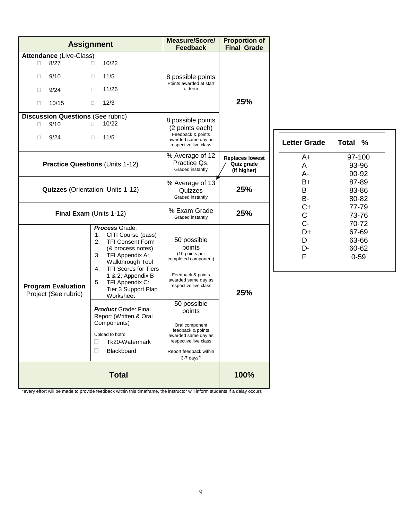|                                                                                                  | <b>Assignment</b>                                                                                                                                                                  | <b>Measure/Score/</b><br><b>Feedback</b>                                                                                                              | <b>Proportion of</b><br><b>Final Grade</b>          |                               |                                     |
|--------------------------------------------------------------------------------------------------|------------------------------------------------------------------------------------------------------------------------------------------------------------------------------------|-------------------------------------------------------------------------------------------------------------------------------------------------------|-----------------------------------------------------|-------------------------------|-------------------------------------|
| Attendance (Live-Class)<br>8/27<br>$\Box$<br>9/10<br>$\Box$<br>9/24<br>$\Box$<br>10/15<br>$\Box$ | 10/22<br>$\Box$<br>11/5<br>$\Box$<br>11/26<br>$\Box$<br>12/3<br>$\Box$                                                                                                             | 8 possible points<br>Points awarded at start<br>of term                                                                                               | 25%                                                 |                               |                                     |
| <b>Discussion Questions (See rubric)</b><br>9/10<br>П<br>9/24<br>П                               | 10/22<br>$\Box$<br>11/5<br>$\Box$                                                                                                                                                  | 8 possible points<br>(2 points each)<br>Feedback & points<br>awarded same day as<br>respective live class                                             |                                                     | <b>Letter Grade</b>           | <b>Total</b><br>$\%$                |
|                                                                                                  | <b>Practice Questions (Units 1-12)</b>                                                                                                                                             |                                                                                                                                                       | <b>Replaces lowest</b><br>Quiz grade<br>(if higher) | $A+$<br>A<br>A-               | 97-100<br>93-96<br>90-92            |
| <b>Quizzes</b> (Orientation; Units 1-12)                                                         |                                                                                                                                                                                    | % Average of 13<br>Quizzes<br>Graded instantly                                                                                                        | 25%                                                 | $B+$<br>B<br>B-               | 87-89<br>83-86<br>80-82             |
|                                                                                                  | Final Exam (Units 1-12)                                                                                                                                                            |                                                                                                                                                       | 25%                                                 | $C+$<br>$\mathsf{C}$<br>$C -$ | 77-79<br>73-76<br>70-72             |
|                                                                                                  | <b>Process Grade:</b><br>CITI Course (pass)<br>1.<br>2.<br><b>TFI Consent Form</b><br>(& process notes)<br>TFI Appendix A:<br>3.<br>Walkthrough Tool<br>TFI Scores for Tiers<br>4. | 50 possible<br>points<br>(10 points per<br>completed component)                                                                                       | 25%                                                 | D+<br>D<br>D-<br>F            | 67-69<br>63-66<br>60-62<br>$0 - 59$ |
| <b>Program Evaluation</b><br>Project (See rubric)                                                | 1 & 2; Appendix B<br>TFI Appendix C:<br>5.<br>Tier 3 Support Plan<br>Worksheet                                                                                                     | Feedback & points<br>awarded same day as<br>respective live class                                                                                     |                                                     |                               |                                     |
|                                                                                                  | <b>Product Grade: Final</b><br>Report (Written & Oral<br>Components)<br>Upload to both:<br>Tk20-Watermark<br>Blackboard<br>П                                                       | 50 possible<br>points<br>Oral component<br>feedback & points<br>awarded same day as<br>respective live class<br>Report feedback within<br>$3-7$ days* |                                                     |                               |                                     |
|                                                                                                  | <b>Total</b>                                                                                                                                                                       |                                                                                                                                                       | 100%                                                |                               |                                     |

\*every effort will be made to provide feedback within this timeframe, the instructor will inform students if a delay occurs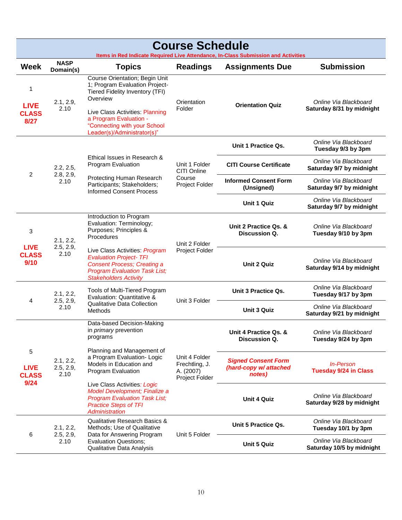| <b>Course Schedule</b><br>Items in Red Indicate Required Live Attendance, In-Class Submission and Activities |                                |                                                                                                                                                                                                                                                    |                                                                |                                                                |                                                    |                                                    |
|--------------------------------------------------------------------------------------------------------------|--------------------------------|----------------------------------------------------------------------------------------------------------------------------------------------------------------------------------------------------------------------------------------------------|----------------------------------------------------------------|----------------------------------------------------------------|----------------------------------------------------|----------------------------------------------------|
| <b>Week</b>                                                                                                  | <b>NASP</b><br>Domain(s)       | <b>Topics</b>                                                                                                                                                                                                                                      | <b>Readings</b>                                                | <b>Assignments Due</b>                                         | <b>Submission</b>                                  |                                                    |
| 1<br><b>LIVE</b><br><b>CLASS</b><br>8/27                                                                     | 2.1, 2.9,<br>2.10              | <b>Course Orientation; Begin Unit</b><br>1; Program Evaluation Project-<br>Tiered Fidelity Inventory (TFI)<br>Overview<br>Live Class Activities: Planning<br>a Program Evaluation -<br>"Connecting with your School<br>Leader(s)/Administrator(s)" | Orientation<br>Folder                                          | <b>Orientation Quiz</b>                                        | Online Via Blackboard<br>Saturday 8/31 by midnight |                                                    |
|                                                                                                              |                                |                                                                                                                                                                                                                                                    |                                                                | Unit 1 Practice Qs.                                            | Online Via Blackboard<br>Tuesday 9/3 by 3pm        |                                                    |
|                                                                                                              | 2.2, 2.5,                      | Ethical Issues in Research &<br>Program Evaluation                                                                                                                                                                                                 | Unit 1 Folder<br>CITI Online                                   | <b>CITI Course Certificate</b>                                 | Online Via Blackboard<br>Saturday 9/7 by midnight  |                                                    |
| $\overline{2}$                                                                                               | 2.8, 2.9,<br>2.10              | Protecting Human Research<br>Participants; Stakeholders;<br><b>Informed Consent Process</b>                                                                                                                                                        | Course<br>Project Folder                                       | <b>Informed Consent Form</b><br>(Unsigned)                     | Online Via Blackboard<br>Saturday 9/7 by midnight  |                                                    |
|                                                                                                              |                                |                                                                                                                                                                                                                                                    |                                                                | <b>Unit 1 Quiz</b>                                             | Online Via Blackboard<br>Saturday 9/7 by midnight  |                                                    |
| 3<br><b>LIVE</b>                                                                                             | 2.1, 2.2,<br>2.5, 2.9,         | Introduction to Program<br>Evaluation: Terminology;<br>Purposes; Principles &<br>Procedures                                                                                                                                                        |                                                                | Unit 2 Folder                                                  | Unit 2 Practice Qs. &<br><b>Discussion Q.</b>      | Online Via Blackboard<br>Tuesday 9/10 by 3pm       |
| <b>CLASS</b><br>9/10                                                                                         | 2.10                           | Live Class Activities: Program<br><b>Evaluation Project- TFI</b><br><b>Consent Process; Creating a</b><br><b>Program Evaluation Task List;</b><br><b>Stakeholders Activity</b>                                                                     | Project Folder                                                 |                                                                | <b>Unit 2 Quiz</b>                                 | Online Via Blackboard<br>Saturday 9/14 by midnight |
| 4                                                                                                            | 2.1, 2.2,                      | Tools of Multi-Tiered Program<br>Evaluation: Quantitative &                                                                                                                                                                                        | Unit 3 Folder                                                  | Unit 3 Practice Qs.                                            | Online Via Blackboard<br>Tuesday 9/17 by 3pm       |                                                    |
|                                                                                                              | 2.5, 2.9,<br>2.10              | Qualitative Data Collection<br>Methods                                                                                                                                                                                                             |                                                                | <b>Unit 3 Quiz</b>                                             | Online Via Blackboard<br>Saturday 9/21 by midnight |                                                    |
|                                                                                                              |                                | Data-based Decision-Making<br>in <i>primary</i> prevention<br>programs                                                                                                                                                                             |                                                                | Unit 4 Practice Qs. &<br>Discussion Q.                         | Online Via Blackboard<br>Tuesday 9/24 by 3pm       |                                                    |
| 5<br><b>LIVE</b><br><b>CLASS</b><br>9/24                                                                     | 2.1, 2.2,<br>2.5, 2.9,<br>2.10 | Planning and Management of<br>a Program Evaluation- Logic<br>Models in Education and<br>Program Evaluation                                                                                                                                         | Unit 4 Folder<br>Frechtling, J.<br>A. (2007)<br>Project Folder | <b>Signed Consent Form</b><br>(hard-copy w/ attached<br>notes) | <b>In-Person</b><br><b>Tuesday 9/24 in Class</b>   |                                                    |
|                                                                                                              |                                | Live Class Activities: Logic<br>Model Development; Finalize a<br><b>Program Evaluation Task List;</b><br><b>Practice Steps of TFI</b><br><b>Administration</b>                                                                                     |                                                                | <b>Unit 4 Quiz</b>                                             | Online Via Blackboard<br>Saturday 9/28 by midnight |                                                    |
|                                                                                                              | 2.1, 2.2,                      | Qualitative Research Basics &<br>Methods; Use of Qualitative                                                                                                                                                                                       |                                                                | Unit 5 Practice Qs.                                            | Online Via Blackboard<br>Tuesday 10/1 by 3pm       |                                                    |
| 6                                                                                                            | 2.5, 2.9,<br>2.10              | Data for Answering Program<br><b>Evaluation Questions:</b><br>Qualitative Data Analysis                                                                                                                                                            | Unit 5 Folder                                                  | <b>Unit 5 Quiz</b>                                             | Online Via Blackboard<br>Saturday 10/5 by midnight |                                                    |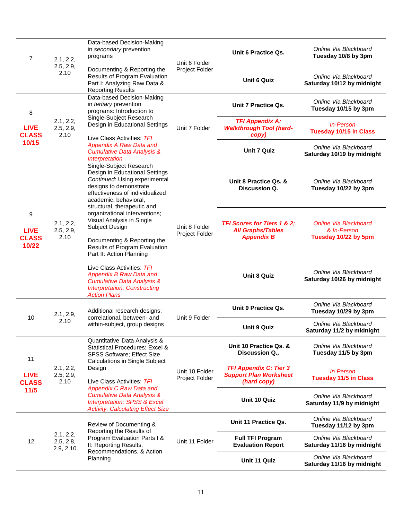| 7<br>2.1, 2.2,<br>2.5, 2.9,               | Data-based Decision-Making<br>in secondary prevention<br>programs | Unit 6 Folder                                                                                                                                                                                                   | Unit 6 Practice Qs.              | Online Via Blackboard<br>Tuesday 10/8 by 3pm                                            |                                                                     |
|-------------------------------------------|-------------------------------------------------------------------|-----------------------------------------------------------------------------------------------------------------------------------------------------------------------------------------------------------------|----------------------------------|-----------------------------------------------------------------------------------------|---------------------------------------------------------------------|
|                                           | 2.10                                                              | Documenting & Reporting the<br>Results of Program Evaluation<br>Part I: Analyzing Raw Data &<br><b>Reporting Results</b>                                                                                        | Project Folder                   | <b>Unit 6 Quiz</b>                                                                      | Online Via Blackboard<br>Saturday 10/12 by midnight                 |
| 8                                         |                                                                   | Data-based Decision-Making<br>in tertiary prevention<br>programs: Introduction to                                                                                                                               |                                  | Unit 7 Practice Qs.                                                                     | Online Via Blackboard<br>Tuesday 10/15 by 3pm                       |
| <b>LIVE</b><br><b>CLASS</b>               | 2.1, 2.2,<br>2.5, 2.9,<br>2.10                                    | Single-Subject Research<br>Design in Educational Settings<br>Live Class Activities: TFI                                                                                                                         | Unit 7 Folder                    | <b>TFI Appendix A:</b><br><b>Walkthrough Tool (hard-</b><br>copy)                       | <b>In-Person</b><br><b>Tuesday 10/15 in Class</b>                   |
| 10/15                                     |                                                                   | <b>Appendix A Raw Data and</b><br><b>Cumulative Data Analysis &amp;</b><br>Interpretation                                                                                                                       |                                  | <b>Unit 7 Quiz</b>                                                                      | Online Via Blackboard<br>Saturday 10/19 by midnight                 |
|                                           |                                                                   | Single-Subject Research<br>Design in Educational Settings<br>Continued: Using experimental<br>designs to demonstrate<br>effectiveness of individualized<br>academic, behavioral,<br>structural, therapeutic and |                                  | Unit 8 Practice Qs. &<br><b>Discussion Q.</b>                                           | Online Via Blackboard<br>Tuesday 10/22 by 3pm                       |
| 9<br><b>LIVE</b><br><b>CLASS</b><br>10/22 | 2.1, 2.2,<br>2.5, 2.9,<br>2.10                                    | organizational interventions;<br>Visual Analysis in Single<br>Subject Design<br>Documenting & Reporting the<br>Results of Program Evaluation                                                                    | Unit 8 Folder<br>Project Folder  | <b>TFI Scores for Tiers 1 &amp; 2:</b><br><b>All Graphs/Tables</b><br><b>Appendix B</b> | <b>Online Via Blackboard</b><br>& In-Person<br>Tuesday 10/22 by 5pm |
|                                           |                                                                   | Part II: Action Planning<br>Live Class Activities: TFI<br><b>Appendix B Raw Data and</b><br><b>Cumulative Data Analysis &amp;</b><br><b>Interpretation; Constructing</b><br><b>Action Plans</b>                 |                                  | <b>Unit 8 Quiz</b>                                                                      | Online Via Blackboard<br>Saturday 10/26 by midnight                 |
| 10                                        | 2.1, 2.9,                                                         | Additional research designs:<br>correlational, between- and                                                                                                                                                     | Unit 9 Folder                    | Unit 9 Practice Qs.                                                                     | Online Via Blackboard<br>Tuesday 10/29 by 3pm                       |
|                                           | 2.10                                                              | within-subject, group designs                                                                                                                                                                                   |                                  | <b>Unit 9 Quiz</b>                                                                      | Online Via Blackboard<br>Saturday 11/2 by midnight                  |
| 11                                        |                                                                   | Quantitative Data Analysis &<br>Statistical Procedures; Excel &<br>SPSS Software; Effect Size<br><b>Calculations in Single Subject</b>                                                                          |                                  | Unit 10 Practice Qs. &<br>Discussion Q.,                                                | Online Via Blackboard<br>Tuesday 11/5 by 3pm                        |
| <b>LIVE</b><br><b>CLASS</b>               | 2.1, 2.2,<br>2.5, 2.9,<br>2.10                                    | Design<br>Live Class Activities: TFI<br><b>Appendix C Raw Data and</b><br><b>Cumulative Data Analysis &amp;</b><br><b>Interpretation; SPSS &amp; Excel</b><br><b>Activity, Calculating Effect Size</b>          | Unit 10 Folder<br>Project Folder | <b>TFI Appendix C: Tier 3</b><br><b>Support Plan Worksheet</b><br>(hard copy)           | In Person<br><b>Tuesday 11/5 in Class</b>                           |
| $11/5$                                    |                                                                   |                                                                                                                                                                                                                 |                                  | Unit 10 Quiz                                                                            | Online Via Blackboard<br>Saturday 11/9 by midnight                  |
|                                           |                                                                   | Review of Documenting &                                                                                                                                                                                         |                                  | Unit 11 Practice Qs.                                                                    | Online Via Blackboard<br>Tuesday 11/12 by 3pm                       |
| 12                                        | 2.1, 2.2,<br>2.5, 2.8,<br>2.9, 2.10                               | Reporting the Results of<br>Program Evaluation Parts I &<br>II: Reporting Results,                                                                                                                              | Unit 11 Folder                   | <b>Full TFI Program</b><br><b>Evaluation Report</b>                                     | Online Via Blackboard<br>Saturday 11/16 by midnight                 |
|                                           |                                                                   | Recommendations, & Action<br>Planning                                                                                                                                                                           |                                  | Unit 11 Quiz                                                                            | Online Via Blackboard<br>Saturday 11/16 by midnight                 |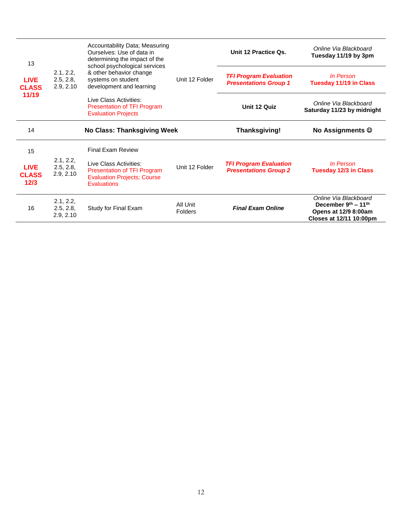| 13                                   |                                     | Accountability Data; Measuring<br>Ourselves: Use of data in<br>determining the impact of the                                                                                                      |                | Unit 12 Practice Qs.                                          | Online Via Blackboard<br>Tuesday 11/19 by 3pm       |
|--------------------------------------|-------------------------------------|---------------------------------------------------------------------------------------------------------------------------------------------------------------------------------------------------|----------------|---------------------------------------------------------------|-----------------------------------------------------|
| <b>LIVE</b><br><b>CLASS</b><br>11/19 | 2.1, 2.2,<br>2.5, 2.8,<br>2.9, 2.10 | school psychological services<br>& other behavior change<br>systems on student<br>development and learning<br>Live Class Activities:<br>Presentation of TFI Program<br><b>Evaluation Projects</b> | Unit 12 Folder | <b>TFI Program Evaluation</b><br><b>Presentations Group 1</b> | In Person<br><b>Tuesday 11/19 in Class</b>          |
|                                      |                                     |                                                                                                                                                                                                   |                | Unit 12 Quiz                                                  | Online Via Blackboard<br>Saturday 11/23 by midnight |
| 14                                   |                                     | No Class: Thanksgiving Week                                                                                                                                                                       |                | Thanksgiving!                                                 | <b>No Assignments ©</b>                             |
|                                      |                                     |                                                                                                                                                                                                   |                |                                                               |                                                     |
| 15                                   |                                     | <b>Final Exam Review</b>                                                                                                                                                                          |                |                                                               |                                                     |
| <b>LIVE</b><br><b>CLASS</b><br>12/3  | 2.1, 2.2,<br>2.5, 2.8,<br>2.9, 2.10 | Live Class Activities:<br>Presentation of TFI Program<br><b>Evaluation Projects; Course</b><br><b>Evaluations</b>                                                                                 | Unit 12 Folder | <b>TFI Program Evaluation</b><br><b>Presentations Group 2</b> | In Person<br><b>Tuesday 12/3 in Class</b>           |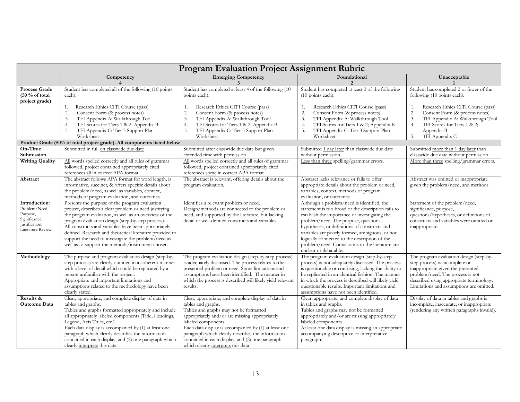|                                                                                                    | <b>Program Evaluation Project Assignment Rubric</b>                                                                                                                                                                                                                                                                                                                                                                                                  |                                                                                                                                                                                                                                                                                                                                                                                                     |                                                                                                                                                                                                                                                                                                                                                                                                                           |                                                                                                                                                                                                                                                                                 |  |  |
|----------------------------------------------------------------------------------------------------|------------------------------------------------------------------------------------------------------------------------------------------------------------------------------------------------------------------------------------------------------------------------------------------------------------------------------------------------------------------------------------------------------------------------------------------------------|-----------------------------------------------------------------------------------------------------------------------------------------------------------------------------------------------------------------------------------------------------------------------------------------------------------------------------------------------------------------------------------------------------|---------------------------------------------------------------------------------------------------------------------------------------------------------------------------------------------------------------------------------------------------------------------------------------------------------------------------------------------------------------------------------------------------------------------------|---------------------------------------------------------------------------------------------------------------------------------------------------------------------------------------------------------------------------------------------------------------------------------|--|--|
|                                                                                                    | Competency                                                                                                                                                                                                                                                                                                                                                                                                                                           | <b>Emerging Competency</b><br>3                                                                                                                                                                                                                                                                                                                                                                     | Foundational<br>2                                                                                                                                                                                                                                                                                                                                                                                                         | Unacceptable                                                                                                                                                                                                                                                                    |  |  |
| Process Grade<br>$(50\%$ of total<br>project grade)                                                | Student has completed all of the following (10 points<br>each):<br>Research Ethics CITI Course (pass)<br>1.<br>2.<br>Consent Form (& process notes)<br>3.<br>TFI Appendix A: Walkthrough Tool<br>TFI Scores for Tiers 1 & 2; Appendix B<br>4.<br>5.<br>TFI Appendix C: Tier 3 Support Plan<br>Worksheet                                                                                                                                              | Student has completed at least 4 of the following (10)<br>points each):<br>Research Ethics CITI Course (pass)<br>1.<br>2.<br>Consent Form (& process notes)<br>TFI Appendix A: Walkthrough Tool<br>3.<br>TFI Scores for Tiers 1 & 2; Appendix B<br>4.<br>TFI Appendix C: Tier 3 Support Plan<br>5.<br>Worksheet                                                                                     | Student has completed at least 3 of the following<br>$(10$ points each):<br>Research Ethics CITI Course (pass)<br>1.<br>Consent Form (& process notes)<br>2.<br>TFI Appendix A: Walkthrough Tool<br>3.<br>TFI Scores for Tiers 1 & 2; Appendix B<br>4.<br>TFI Appendix C: Tier 3 Support Plan<br>5.<br>Worksheet                                                                                                          | Student has completed 2 or fewer of the<br>following (10 points each):<br>Research Ethics CITI Course (pass)<br>1.<br>Consent Form (& process notes)<br>2.<br>3.<br>TFI Appendix A: Walkthrough Tool<br>TFI Scores for Tiers 1 & 2;<br>4.<br>Appendix B<br>TFI Appendix C<br>5. |  |  |
|                                                                                                    | Product Grade (50% of total project grade). All components listed below                                                                                                                                                                                                                                                                                                                                                                              |                                                                                                                                                                                                                                                                                                                                                                                                     |                                                                                                                                                                                                                                                                                                                                                                                                                           |                                                                                                                                                                                                                                                                                 |  |  |
| On-Time<br>Submission<br><b>Writing Quality</b>                                                    | Submitted in full on classwide due date<br>All words spelled correctly and all rules of grammar                                                                                                                                                                                                                                                                                                                                                      | Submitted after classwide due date but given<br>extended time with permission<br>All words spelled correctly and all rules of grammar                                                                                                                                                                                                                                                               | Submitted 1 day later than classwide due date<br>without permission<br>Less than three spelling/grammar errors.                                                                                                                                                                                                                                                                                                           | Submitted more than 1 day later than<br>classwide due date without permission<br>More than three spelling/grammar errors.                                                                                                                                                       |  |  |
|                                                                                                    | followed, project contained appropriately cited<br>references all in correct APA format                                                                                                                                                                                                                                                                                                                                                              | followed, project contained appropriately cited<br>references some in correct APA format                                                                                                                                                                                                                                                                                                            |                                                                                                                                                                                                                                                                                                                                                                                                                           |                                                                                                                                                                                                                                                                                 |  |  |
| Abstract                                                                                           | The abstract follows APA format for word length, is<br>informative, succinct, & offers specific details about<br>the problem/need, as well as variables, context,<br>methods of program evaluation, and outcomes                                                                                                                                                                                                                                     | The abstract is relevant, offering details about the<br>program evaluation.                                                                                                                                                                                                                                                                                                                         | Abstract lacks relevance or fails to offer<br>appropriate details about the problem or need,<br>variables, context, methods of program<br>evaluation, or outcomes                                                                                                                                                                                                                                                         | Abstract was omitted or inappropriate<br>given the problem/need, and methods                                                                                                                                                                                                    |  |  |
| Introduction:<br>Problem/Need,<br>Purpose,<br>Significance,<br>Justification,<br>Literature Review | Presents the purpose of the program evaluation<br>project, describes a clear problem or need justifying<br>the program evaluation, as well as an overview of the<br>program evaluation design (step-by-step process).<br>All constructs and variables have been appropriately<br>defined. Research and theoretical literature provided to<br>support the need to investigate the problem/need as<br>well as to support the methods/instrument chosen | Identifies a relevant problem or need.<br>Design/methods are connected to the problem or<br>need, and supported by the literature, but lacking<br>detail or well-defined constructs and variables.                                                                                                                                                                                                  | Although a problem/need is identified, the<br>statement is too broad or the description fails to<br>establish the importance of investigating the<br>problem/need. The purpose, questions,<br>hypotheses, or definitions of constructs and<br>variables are poorly formed, ambiguous, or not<br>logically connected to the description of the<br>problem/need. Connections to the literature are<br>unclear or debatable. | Statement of the problem/need,<br>significance, purpose,<br>questions/hypotheses, or definitions of<br>constructs and variables were omitted or<br>inappropriate.                                                                                                               |  |  |
| Methodology                                                                                        | The purpose and program evaluation design (step-by-<br>step process) are clearly outlined in a coherent manner<br>with a level of detail which could be replicated by a<br>person unfamiliar with the project.<br>Appropriate and important limitations and<br>assumptions related to the methodology have been<br>clearly stated.                                                                                                                   | The program evaluation design (step-by-step process)<br>is adequately discussed. The process relates to the<br>presented problem or need. Some limitations and<br>assumptions have been identified. The manner in<br>which the process is described will likely yield relevant<br>results.                                                                                                          | The program evaluation design (step-by-step<br>process) is not adequately discussed. The process<br>is questionable or confusing, lacking the ability to<br>be replicated in an identical fashion. The manner<br>in which the process is described will likely yield<br>questionable results. Important limitations and<br>assumptions have not been identified.                                                          | The program evaluation design (step-by-<br>step process) is incomplete or<br>inappropriate given the presented<br>problem/need. The process is not<br>described using appropriate terminology.<br>Limitations and assumptions are omitted.                                      |  |  |
| Results &<br><b>Outcome Data</b>                                                                   | Clear, appropriate, and complete display of data in<br>tables and graphs.<br>Tables and graphs formatted appropriately and include<br>all appropriately labeled components (Title, Headings,<br>Legend, Axis Titles, etc.).<br>Each data display is accompanied by (1) at least one<br>paragraph which clearly describes the information<br>contained in each display, and (2) one paragraph which<br>clearly interprets this data.                  | Clear, appropriate, and complete display of data in<br>tables and graphs.<br>Tables and graphs may not be formatted<br>appropriately and/or are missing appropriately<br>labeled components.<br>Each data display is accompanied by (1) at least one<br>paragraph which clearly describes the information<br>contained in each display, and (2) one paragraph<br>which clearly interprets this data | Clear, appropriate, and complete display of data<br>in tables and graphs.<br>Tables and graphs may not be formatted<br>appropriately and/or are missing appropriately<br>labeled components.<br>At least one data display is missing an appropriate<br>accompanying descriptive or interpretative<br>paragraph.                                                                                                           | Display of data in tables and graphs is<br>incomplete, inaccurate, or inappropriate<br>(rendering any written paragraphs invalid).                                                                                                                                              |  |  |